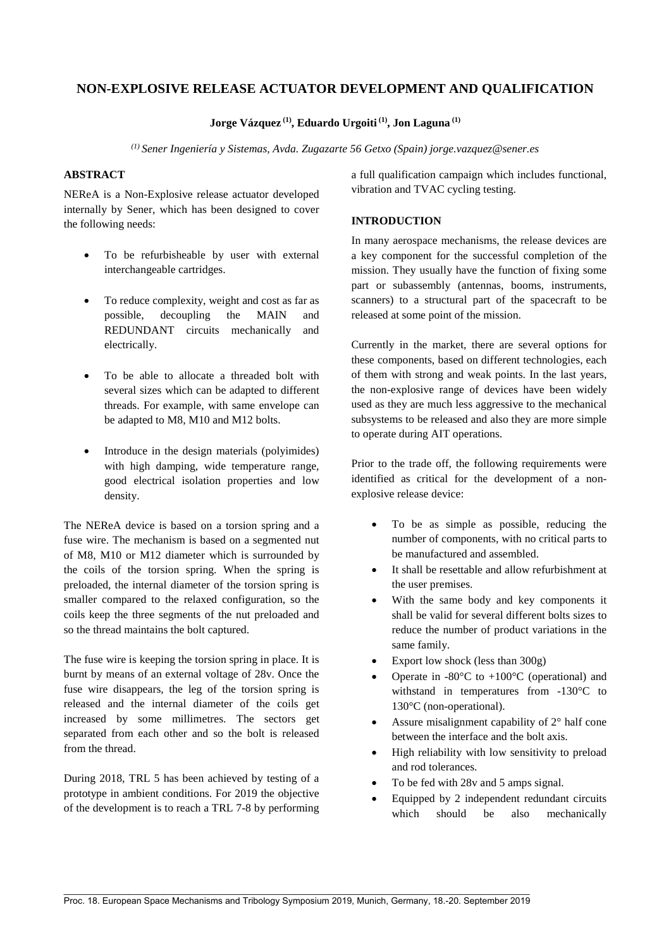# **NON-EXPLOSIVE RELEASE ACTUATOR DEVELOPMENT AND QUALIFICATION**

# **Jorge Vázquez (1), Eduardo Urgoiti (1), Jon Laguna (1)**

*(1) Sener Ingeniería y Sistemas, Avda. Zugazarte 56 Getxo (Spain) jorge.vazquez@sener.es*

## **ABSTRACT**

NEReA is a Non-Explosive release actuator developed internally by Sener, which has been designed to cover the following needs:

- To be refurbisheable by user with external interchangeable cartridges.
- To reduce complexity, weight and cost as far as possible, decoupling the MAIN and REDUNDANT circuits mechanically and electrically.
- To be able to allocate a threaded bolt with several sizes which can be adapted to different threads. For example, with same envelope can be adapted to M8, M10 and M12 bolts.
- Introduce in the design materials (polyimides) with high damping, wide temperature range, good electrical isolation properties and low density.

The NEReA device is based on a torsion spring and a fuse wire. The mechanism is based on a segmented nut of M8, M10 or M12 diameter which is surrounded by the coils of the torsion spring. When the spring is preloaded, the internal diameter of the torsion spring is smaller compared to the relaxed configuration, so the coils keep the three segments of the nut preloaded and so the thread maintains the bolt captured.

The fuse wire is keeping the torsion spring in place. It is burnt by means of an external voltage of 28v. Once the fuse wire disappears, the leg of the torsion spring is released and the internal diameter of the coils get increased by some millimetres. The sectors get separated from each other and so the bolt is released from the thread.

During 2018, TRL 5 has been achieved by testing of a prototype in ambient conditions. For 2019 the objective of the development is to reach a TRL 7-8 by performing a full qualification campaign which includes functional, vibration and TVAC cycling testing.

## **INTRODUCTION**

In many aerospace mechanisms, the release devices are a key component for the successful completion of the mission. They usually have the function of fixing some part or subassembly (antennas, booms, instruments, scanners) to a structural part of the spacecraft to be released at some point of the mission.

Currently in the market, there are several options for these components, based on different technologies, each of them with strong and weak points. In the last years, the non-explosive range of devices have been widely used as they are much less aggressive to the mechanical subsystems to be released and also they are more simple to operate during AIT operations.

Prior to the trade off, the following requirements were identified as critical for the development of a nonexplosive release device:

- To be as simple as possible, reducing the number of components, with no critical parts to be manufactured and assembled.
- It shall be resettable and allow refurbishment at the user premises.
- With the same body and key components it shall be valid for several different bolts sizes to reduce the number of product variations in the same family.
- Export low shock (less than 300g)
- Operate in -80 $\degree$ C to +100 $\degree$ C (operational) and withstand in temperatures from -130°C to 130°C (non-operational).
- Assure misalignment capability of 2° half cone between the interface and the bolt axis.
- High reliability with low sensitivity to preload and rod tolerances.
- To be fed with 28v and 5 amps signal.
- Equipped by 2 independent redundant circuits which should be also mechanically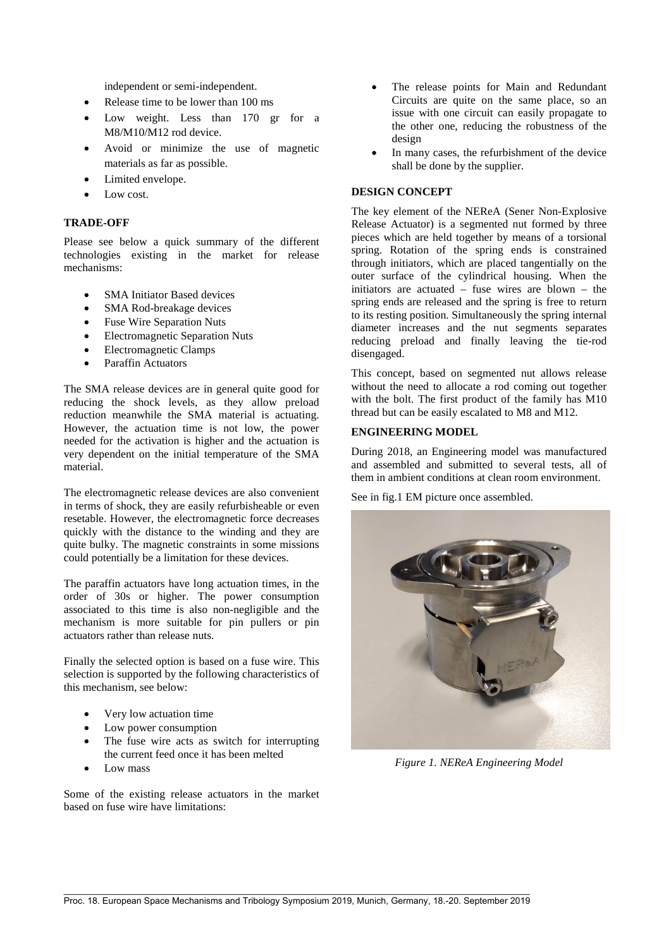independent or semi-independent.

- Release time to be lower than 100 ms
- Low weight. Less than 170 gr for a M8/M10/M12 rod device.
- Avoid or minimize the use of magnetic materials as far as possible.
- Limited envelope.
- Low cost.

### **TRADE-OFF**

Please see below a quick summary of the different technologies existing in the market for release mechanisms:

- SMA Initiator Based devices
- SMA Rod-breakage devices
- Fuse Wire Separation Nuts
- Electromagnetic Separation Nuts
- Electromagnetic Clamps
- Paraffin Actuators

The SMA release devices are in general quite good for reducing the shock levels, as they allow preload reduction meanwhile the SMA material is actuating. However, the actuation time is not low, the power needed for the activation is higher and the actuation is very dependent on the initial temperature of the SMA material.

The electromagnetic release devices are also convenient in terms of shock, they are easily refurbisheable or even resetable. However, the electromagnetic force decreases quickly with the distance to the winding and they are quite bulky. The magnetic constraints in some missions could potentially be a limitation for these devices.

The paraffin actuators have long actuation times, in the order of 30s or higher. The power consumption associated to this time is also non-negligible and the mechanism is more suitable for pin pullers or pin actuators rather than release nuts.

Finally the selected option is based on a fuse wire. This selection is supported by the following characteristics of this mechanism, see below:

- Very low actuation time
- Low power consumption
- The fuse wire acts as switch for interrupting the current feed once it has been melted
- Low mass

Some of the existing release actuators in the market based on fuse wire have limitations:

- The release points for Main and Redundant Circuits are quite on the same place, so an issue with one circuit can easily propagate to the other one, reducing the robustness of the design
- In many cases, the refurbishment of the device shall be done by the supplier.

## **DESIGN CONCEPT**

The key element of the NEReA (Sener Non-Explosive Release Actuator) is a segmented nut formed by three pieces which are held together by means of a torsional spring. Rotation of the spring ends is constrained through initiators, which are placed tangentially on the outer surface of the cylindrical housing. When the initiators are actuated – fuse wires are blown – the spring ends are released and the spring is free to return to its resting position. Simultaneously the spring internal diameter increases and the nut segments separates reducing preload and finally leaving the tie-rod disengaged.

This concept, based on segmented nut allows release without the need to allocate a rod coming out together with the bolt. The first product of the family has M10 thread but can be easily escalated to M8 and M12.

### **ENGINEERING MODEL**

During 2018, an Engineering model was manufactured and assembled and submitted to several tests, all of them in ambient conditions at clean room environment.

See in fig.1 EM picture once assembled.



*Figure 1. NEReA Engineering Model*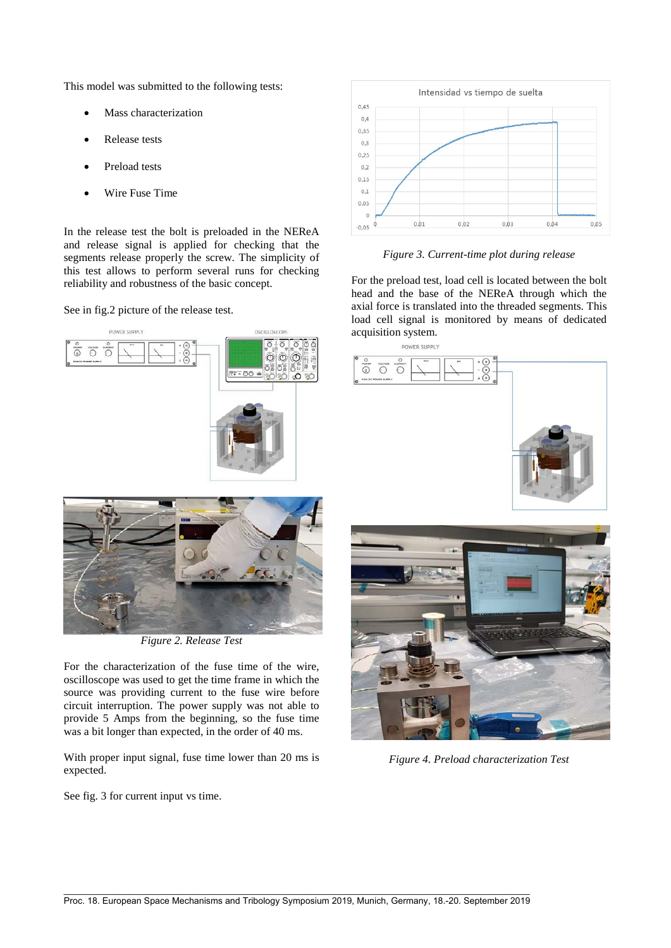This model was submitted to the following tests:

- Mass characterization
- Release tests
- Preload tests
- Wire Fuse Time

In the release test the bolt is preloaded in the NEReA and release signal is applied for checking that the segments release properly the screw. The simplicity of this test allows to perform several runs for checking reliability and robustness of the basic concept.

See in fig.2 picture of the release test.



*Figure 2. Release Test*

For the characterization of the fuse time of the wire, oscilloscope was used to get the time frame in which the source was providing current to the fuse wire before circuit interruption. The power supply was not able to provide 5 Amps from the beginning, so the fuse time was a bit longer than expected, in the order of 40 ms.

With proper input signal, fuse time lower than 20 ms is expected.

See fig. 3 for current input vs time.



*Figure 3. Current-time plot during release*

For the preload test, load cell is located between the bolt head and the base of the NEReA through which the axial force is translated into the threaded segments. This load cell signal is monitored by means of dedicated acquisition system.





*Figure 4. Preload characterization Test*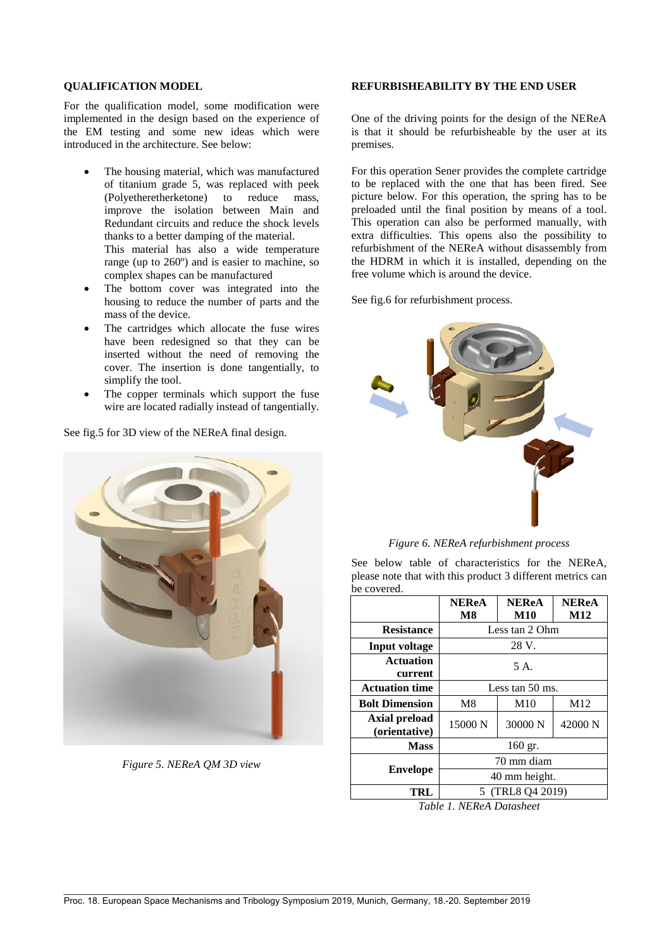#### **QUALIFICATION MODEL**

For the qualification model, some modification were implemented in the design based on the experience of the EM testing and some new ideas which were introduced in the architecture. See below:

- The housing material, which was manufactured of titanium grade 5, was replaced with peek (Polyetheretherketone) to reduce mass, improve the isolation between Main and Redundant circuits and reduce the shock levels thanks to a better damping of the material. This material has also a wide temperature range (up to 260º) and is easier to machine, so complex shapes can be manufactured
- The bottom cover was integrated into the housing to reduce the number of parts and the mass of the device.
- The cartridges which allocate the fuse wires have been redesigned so that they can be inserted without the need of removing the cover. The insertion is done tangentially, to simplify the tool.
- The copper terminals which support the fuse wire are located radially instead of tangentially.

See fig.5 for 3D view of the NEReA final design.



*Figure 5. NEReA QM 3D view*

#### **REFURBISHEABILITY BY THE END USER**

One of the driving points for the design of the NEReA is that it should be refurbisheable by the user at its premises.

For this operation Sener provides the complete cartridge to be replaced with the one that has been fired. See picture below. For this operation, the spring has to be preloaded until the final position by means of a tool. This operation can also be performed manually, with extra difficulties. This opens also the possibility to refurbishment of the NEReA without disassembly from the HDRM in which it is installed, depending on the free volume which is around the device.

See fig.6 for refurbishment process.



*Figure 6. NEReA refurbishment process*

See below table of characteristics for the NEReA, please note that with this product 3 different metrics can be covered.

|                                | <b>NEReA</b><br>M8 | <b>NEReA</b><br><b>M10</b> | <b>NEReA</b><br>M <sub>12</sub> |
|--------------------------------|--------------------|----------------------------|---------------------------------|
| <b>Resistance</b>              | Less tan 2 Ohm     |                            |                                 |
| <b>Input voltage</b>           | 28 V.              |                            |                                 |
| <b>Actuation</b><br>current    | 5 A.               |                            |                                 |
| <b>Actuation time</b>          | Less tan 50 ms.    |                            |                                 |
| <b>Bolt Dimension</b>          | M8                 | M10                        | M <sub>12</sub>                 |
| Axial preload<br>(orientative) | 15000 N            | 30000 N                    | 42000 N                         |
| <b>Mass</b>                    | 160 gr.            |                            |                                 |
| <b>Envelope</b>                | 70 mm diam         |                            |                                 |
|                                | 40 mm height.      |                            |                                 |
| TRL                            | 5 (TRL8 Q4 2019)   |                            |                                 |

*Table 1. NEReA Datasheet*